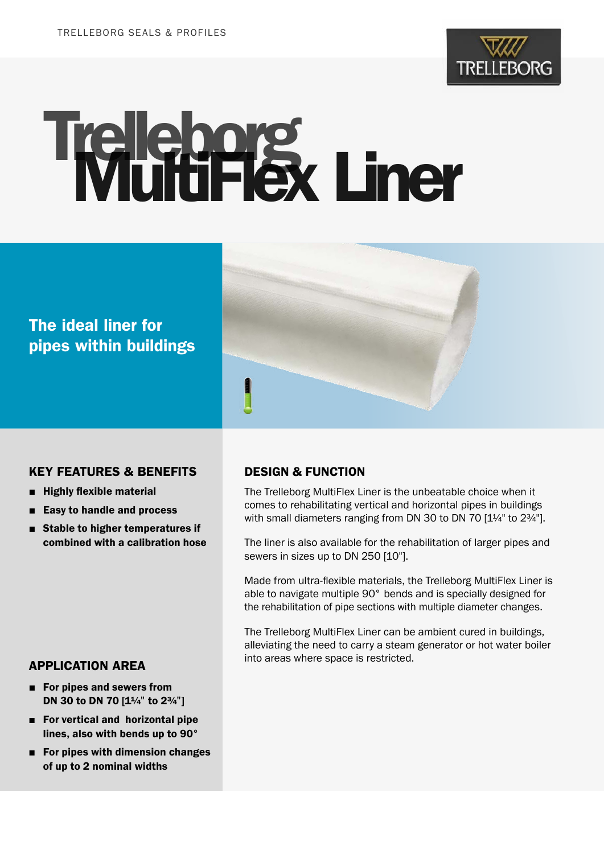

# Trelleborg Liner

# The ideal liner for pipes within buildings



#### KEY FEATURES & BENEFITS

- Highly flexible material
- Easy to handle and process
- Stable to higher temperatures if combined with a calibration hose

#### APPLICATION AREA

- For pipes and sewers from DN 30 to DN 70 [1¼" to 2¾"]
- For vertical and horizontal pipe lines, also with bends up to 90°
- For pipes with dimension changes of up to 2 nominal widths

#### DESIGN & FUNCTION

The Trelleborg MultiFlex Liner is the unbeatable choice when it comes to rehabilitating vertical and horizontal pipes in buildings with small diameters ranging from DN 30 to DN 70 [1¼" to 2¾"].

The liner is also available for the rehabilitation of larger pipes and sewers in sizes up to DN 250 [10"].

Made from ultra-flexible materials, the Trelleborg MultiFlex Liner is able to navigate multiple 90° bends and is specially designed for the rehabilitation of pipe sections with multiple diameter changes.

The Trelleborg MultiFlex Liner can be ambient cured in buildings, alleviating the need to carry a steam generator or hot water boiler into areas where space is restricted.